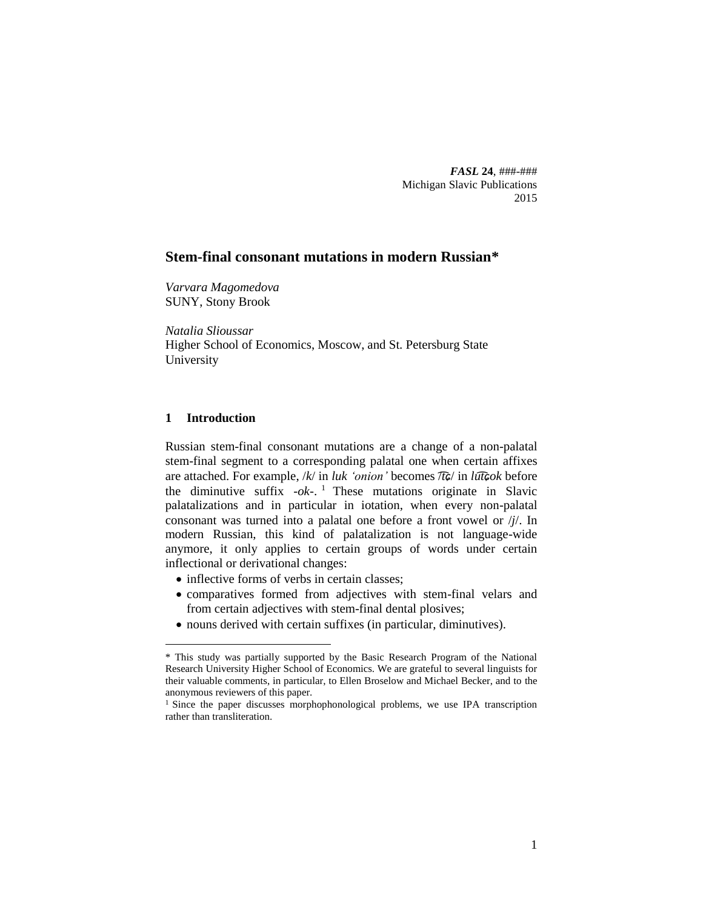*FASL* **24**, ###-### Michigan Slavic Publications 2015

## **Stem-final consonant mutations in modern Russian\***

*Varvara Magomedova* SUNY, Stony Brook

*Natalia Slioussar* Higher School of Economics, Moscow, and St. Petersburg State University

## **1 Introduction**

 $\overline{a}$ 

Russian stem-final consonant mutations are a change of a non-palatal stem-final segment to a corresponding palatal one when certain affixes are attached. For example, /*k*/ in *luk 'onion'* becomes /*t͡ɕ*/ in *lut͡ɕok* before the diminutive suffix *-ok-*. <sup>1</sup> These mutations originate in Slavic palatalizations and in particular in iotation, when every non-palatal consonant was turned into a palatal one before a front vowel or /*j*/. In modern Russian, this kind of palatalization is not language-wide anymore, it only applies to certain groups of words under certain inflectional or derivational changes:

- inflective forms of verbs in certain classes;
- comparatives formed from adjectives with stem-final velars and from certain adjectives with stem-final dental plosives;
- nouns derived with certain suffixes (in particular, diminutives).

<sup>\*</sup> This study was partially supported by the Basic Research Program of the National Research University Higher School of Economics. We are grateful to several linguists for their valuable comments, in particular, to Ellen Broselow and Michael Becker, and to the anonymous reviewers of this paper.

<sup>&</sup>lt;sup>1</sup> Since the paper discusses morphophonological problems, we use IPA transcription rather than transliteration.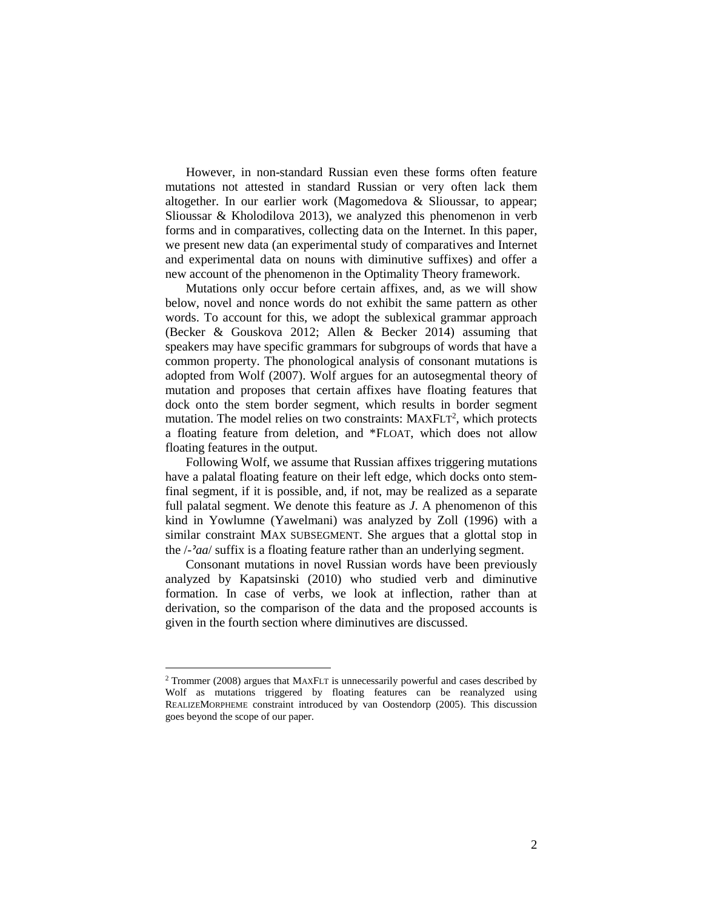However, in non-standard Russian even these forms often feature mutations not attested in standard Russian or very often lack them altogether. In our earlier work (Magomedova & Slioussar, to appear; Slioussar & Kholodilova 2013), we analyzed this phenomenon in verb forms and in comparatives, collecting data on the Internet. In this paper, we present new data (an experimental study of comparatives and Internet and experimental data on nouns with diminutive suffixes) and offer a new account of the phenomenon in the Optimality Theory framework.

Mutations only occur before certain affixes, and, as we will show below, novel and nonce words do not exhibit the same pattern as other words. To account for this, we adopt the sublexical grammar approach (Becker & Gouskova 2012; Allen & Becker 2014) assuming that speakers may have specific grammars for subgroups of words that have a common property. The phonological analysis of consonant mutations is adopted from Wolf (2007). Wolf argues for an autosegmental theory of mutation and proposes that certain affixes have floating features that dock onto the stem border segment, which results in border segment mutation. The model relies on two constraints:  $MAXFLT<sup>2</sup>$ , which protects a floating feature from deletion, and \*FLOAT, which does not allow floating features in the output.

Following Wolf, we assume that Russian affixes triggering mutations have a palatal floating feature on their left edge, which docks onto stemfinal segment, if it is possible, and, if not, may be realized as a separate full palatal segment. We denote this feature as *J*. A phenomenon of this kind in Yowlumne (Yawelmani) was analyzed by Zoll (1996) with a similar constraint MAX SUBSEGMENT. She argues that a glottal stop in the /*-ˀaa*/ suffix is a floating feature rather than an underlying segment.

Consonant mutations in novel Russian words have been previously analyzed by Kapatsinski (2010) who studied verb and diminutive formation. In case of verbs, we look at inflection, rather than at derivation, so the comparison of the data and the proposed accounts is given in the fourth section where diminutives are discussed.

<sup>2</sup> Trommer (2008) argues that MAXFLT is unnecessarily powerful and cases described by Wolf as mutations triggered by floating features can be reanalyzed using REALIZEMORPHEME constraint introduced by van Oostendorp (2005). This discussion goes beyond the scope of our paper.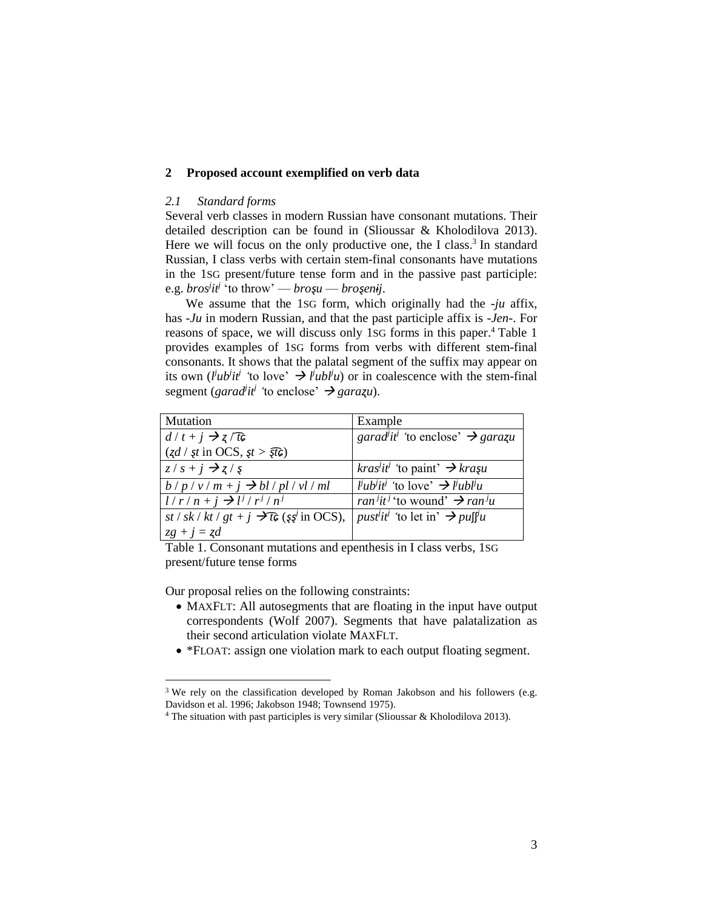## **2 Proposed account exemplified on verb data**

### *2.1 Standard forms*

Several verb classes in modern Russian have consonant mutations. Their detailed description can be found in (Slioussar & Kholodilova 2013). Here we will focus on the only productive one, the I class.<sup>3</sup> In standard Russian, I class verbs with certain stem-final consonants have mutations in the 1SG present/future tense form and in the passive past participle: e.g. *bros j it j* 'to throw' — *broȿu* — *broȿenɨj*.

We assume that the 1SG form, which originally had the *-ju* affix, has *-Ju* in modern Russian, and that the past participle affix is *-Jen-*. For reasons of space, we will discuss only 1SG forms in this paper.<sup>4</sup> Table 1 provides examples of 1SG forms from verbs with different stem-final consonants. It shows that the palatal segment of the suffix may appear on its own (*l*<sup>*iub*</sup>*it*<sup>*j*</sup> 'to love'  $\rightarrow$  *l*<sup>*iubl*<sup>*iu*</sup>) or in coalescence with the stem-final</sup> segment (*garad<sup>j</sup>it<sup>j</sup>* 'to enclose' → *garazu*).

| <b>Mutation</b>                                                        | Example                                                                              |
|------------------------------------------------------------------------|--------------------------------------------------------------------------------------|
| $d/t + j \rightarrow z/TG$                                             | garad <sup><math>i</math></sup> it <sup>j</sup> 'to enclose' $\rightarrow$ garazu    |
| $(zd / \xi t \text{ in OCS}, \xi t > \overline{\xi t} \hat{\epsilon})$ |                                                                                      |
| $z/s + j \rightarrow z/s$                                              | <i>kras<sup>i</sup>it<sup>i</sup></i> 'to paint' $\rightarrow$ <i>krasu</i>          |
| $b/p/v/m+j \rightarrow bl/pl/vl/ml$                                    | $liu bi tj$ 'to love' $\rightarrow$ $liu b lj u$                                     |
| $l/r/n + j \rightarrow l^{j}/r^{j}/n^{j}$                              | <i>ran<sup>j</sup>it<sup>j</sup></i> to wound' $\rightarrow$ <i>ran<sup>j</sup>u</i> |
| st / sk / kt / gt + $j \rightarrow t\hat{\epsilon}$ (ş $s^j$ in OCS),  | <i>pust<sup>iti</sup></i> 'to let in' $\rightarrow$ puff'u                           |
| $zg + j = zd$                                                          |                                                                                      |

Table 1. Consonant mutations and epenthesis in I class verbs, 1SG present/future tense forms

Our proposal relies on the following constraints:

- MAXFLT: All autosegments that are floating in the input have output correspondents (Wolf 2007). Segments that have palatalization as their second articulation violate MAXFLT.
- \*FLOAT: assign one violation mark to each output floating segment.

<sup>&</sup>lt;sup>3</sup> We rely on the classification developed by Roman Jakobson and his followers (e.g. Davidson et al. 1996; Jakobson 1948; Townsend 1975).

<sup>4</sup> The situation with past participles is very similar (Slioussar & Kholodilova 2013).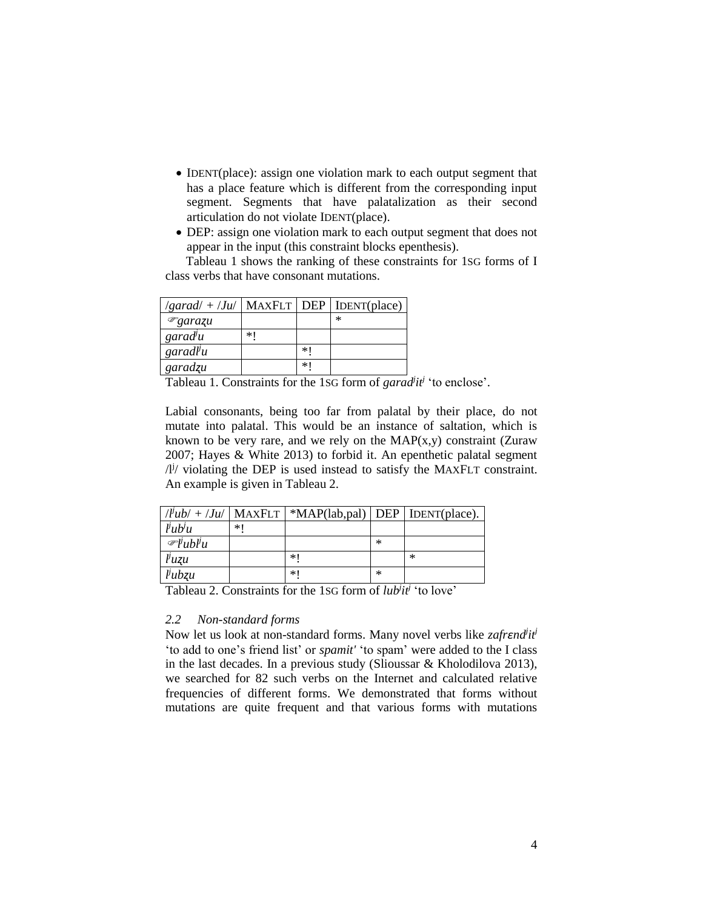- IDENT(place): assign one violation mark to each output segment that has a place feature which is different from the corresponding input segment. Segments that have palatalization as their second articulation do not violate IDENT(place).
- DEP: assign one violation mark to each output segment that does not appear in the input (this constraint blocks epenthesis).

Tableau 1 shows the ranking of these constraints for 1SG forms of I class verbs that have consonant mutations.

| $\sqrt{g} \text{arad}/ + \sqrt{J} \text{u}/ \sqrt{g} \text{MAXFLT}$ DEP   IDENT(place) |    |    |        |
|----------------------------------------------------------------------------------------|----|----|--------|
| ${}^{\circledR}$ garazu                                                                |    |    | $\ast$ |
| $\gamma$ garad <sup>j</sup> u                                                          | *1 |    |        |
| garadl <sup>j</sup> u                                                                  |    | ∗∣ |        |
| garadzu                                                                                |    | ∗∣ |        |

Tableau 1. Constraints for the 1SG form of  $\frac{garad^i}{i}$  'to enclose'.

Labial consonants, being too far from palatal by their place, do not mutate into palatal. This would be an instance of saltation, which is known to be very rare, and we rely on the  $MAP(x,y)$  constraint (Zuraw 2007; Hayes & White 2013) to forbid it. An epenthetic palatal segment  $\frac{1}{4}$  violating the DEP is used instead to satisfy the MAXFLT constraint. An example is given in Tableau 2.

|                                 |     | $ l $ ub/ + $ Ju $   MAXFLT   *MAP(lab,pal)   DEP   IDENT(place). |           |        |
|---------------------------------|-----|-------------------------------------------------------------------|-----------|--------|
| l <sub>u</sub> b <sub>u</sub>   | * I |                                                                   |           |        |
| $\mathscr{F}$ l'ubl'u           |     |                                                                   | $\ast$    |        |
| $\mu$ uzu                       |     | *1                                                                |           | $\ast$ |
| $lu$ <sub><math>vu</math></sub> |     | *1                                                                | $^{\ast}$ |        |

Tableau 2. Constraints for the 1SG form of *lub<sup>j</sup> itj* 'to love'

### *2.2 Non-standard forms*

Now let us look at non-standard forms. Many novel verbs like *zafrend<sup>i</sup>ti*<sup>j</sup> 'to add to one's friend list' or *spamit'* 'to spam' were added to the I class in the last decades. In a previous study (Slioussar & Kholodilova 2013), we searched for 82 such verbs on the Internet and calculated relative frequencies of different forms. We demonstrated that forms without mutations are quite frequent and that various forms with mutations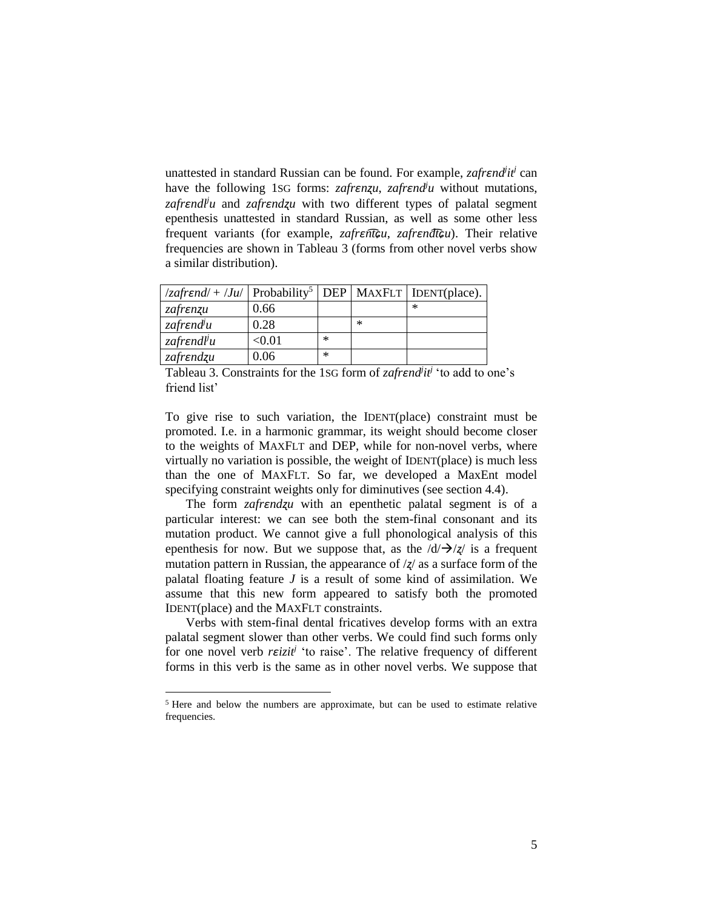unattested in standard Russian can be found. For example, *zafrɛnd<sup>j</sup> itj* can have the following 1sG forms: *zafrEnzu*, *zafrEnd*<sup>*ju*</sup> without mutations, *zafrɛndl<sup>j</sup> u* and *zafrɛndʐu* with two different types of palatal segment epenthesis unattested in standard Russian, as well as some other less frequent variants (for example, *zafrɛnt͡ɕu*, *zafrɛndt͡ɕu*). Their relative frequencies are shown in Tableau 3 (forms from other novel verbs show a similar distribution).

| $ z \rightarrow z$ /zafrend/ + /Ju/ Probability <sup>5</sup>   DEP   MAXFLT   IDENT(place). |                         |           |           |        |
|---------------------------------------------------------------------------------------------|-------------------------|-----------|-----------|--------|
| zafrenzu                                                                                    | 0.66                    |           |           | $\ast$ |
| zafr $endlu$                                                                                | 0.28                    |           | $^{\ast}$ |        |
| zafr $\epsilon$ ndl <sup>j</sup> u                                                          | $< \hspace{-0.2em}0.01$ | $\ast$    |           |        |
| zafrendzu                                                                                   | 0.06                    | $^{\ast}$ |           |        |

Tableau 3. Constraints for the 1SG form of *zafrɛnd<sup>j</sup> itj* 'to add to one's friend list'

To give rise to such variation, the IDENT(place) constraint must be promoted. I.e. in a harmonic grammar, its weight should become closer to the weights of MAXFLT and DEP, while for non-novel verbs, where virtually no variation is possible, the weight of IDENT(place) is much less than the one of MAXFLT. So far, we developed a MaxEnt model specifying constraint weights only for diminutives (see section 4.4).

The form *zafrzafrzu* with an epenthetic palatal segment is of a particular interest: we can see both the stem-final consonant and its mutation product. We cannot give a full phonological analysis of this epenthesis for now. But we suppose that, as the  $\frac{d}{\rightarrow}$  / $\frac{d}{\rightarrow}$  is a frequent mutation pattern in Russian, the appearance of /*ʐ*/ as a surface form of the palatal floating feature *J* is a result of some kind of assimilation. We assume that this new form appeared to satisfy both the promoted IDENT(place) and the MAXFLT constraints.

Verbs with stem-final dental fricatives develop forms with an extra palatal segment slower than other verbs. We could find such forms only for one novel verb *rɛizit<sup>j</sup>* 'to raise'. The relative frequency of different forms in this verb is the same as in other novel verbs. We suppose that

<sup>5</sup> Here and below the numbers are approximate, but can be used to estimate relative frequencies.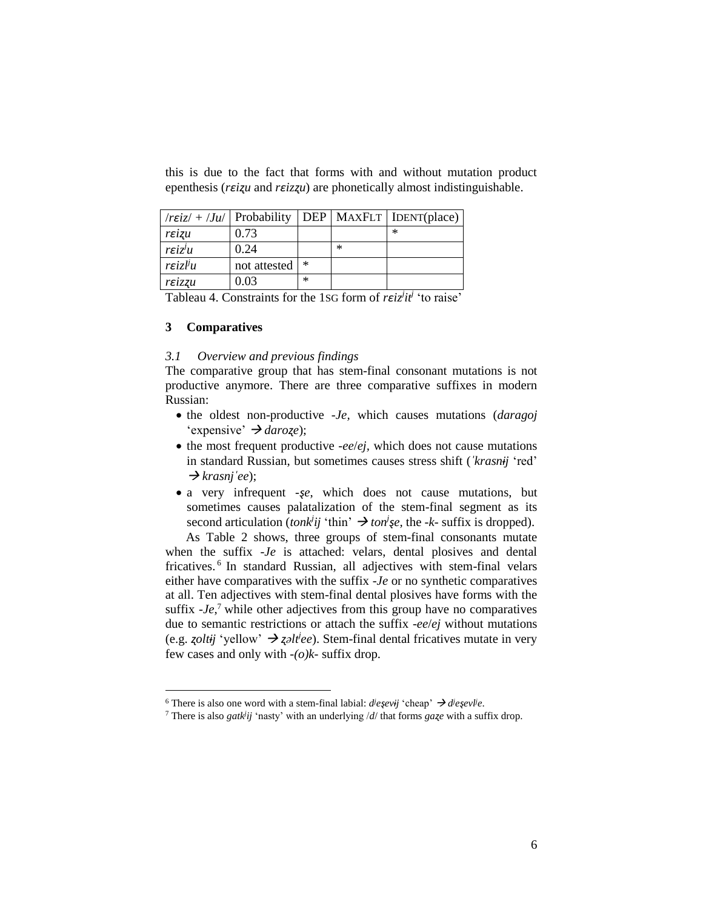this is due to the fact that forms with and without mutation product epenthesis (*rɛiʐu* and *rɛizʐu*) are phonetically almost indistinguishable.

| $\pi$ <i>rεiz</i> / + <i>/Ju</i> /   Probability |              |        |        | DEP   MAXFLT   IDENT(place) |
|--------------------------------------------------|--------------|--------|--------|-----------------------------|
| reizu                                            | 0.73         |        |        | $\ast$                      |
| $r \varepsilon i \overline{z}^j u$               | 0.24         |        | $\ast$ |                             |
| $r \varepsilon i z l^j u$                        | not attested | ∗      |        |                             |
| reizzu                                           | 0.03         | $\ast$ |        |                             |

Tableau 4. Constraints for the 1SG form of *rɛiz<sup>j</sup> itj* 'to raise'

# **3 Comparatives**

 $\overline{a}$ 

## *3.1 Overview and previous findings*

The comparative group that has stem-final consonant mutations is not productive anymore. There are three comparative suffixes in modern Russian:

- the oldest non-productive *-Je,* which causes mutations (*daragoj*  'expensive' *daroʐe*);
- the most frequent productive *-ee/ej*, which does not cause mutations in standard Russian, but sometimes causes stress shift (*ˈkrasnɨj* 'red'  $\rightarrow$ *krasnj*<sup> $'e$ </sup>*e* $)$ ;
- a very infrequent *-ṣe*, which does not cause mutations, but sometimes causes palatalization of the stem-final segment as its second articulation (*tonk<sup>j</sup>ij* 'thin'  $\rightarrow$  *ton<sup><i>i*</sup>ςe, the *-k-* suffix is dropped).

As Table 2 shows, three groups of stem-final consonants mutate when the suffix *-Je* is attached: velars, dental plosives and dental fricatives. 6 In standard Russian, all adjectives with stem-final velars either have comparatives with the suffix *-Je* or no synthetic comparatives at all. Ten adjectives with stem-final dental plosives have forms with the suffix  $Je<sub>i</sub>$ <sup>7</sup> while other adjectives from this group have no comparatives due to semantic restrictions or attach the suffix *-ee*/*ej* without mutations (e.g. *ʐoltɨj* 'yellow' *ʐəlt<sup>j</sup> ee*). Stem-final dental fricatives mutate in very few cases and only with *-(o)k-* suffix drop.

<sup>6</sup> There is also one word with a stem-final labial:  $\text{d}^i \text{e}^i \text{e}^i \text{e}^j$  'cheap'  $\rightarrow \text{d}^i \text{e}^i \text{e}^j \text{e}^j \text{e}^j$ .

<sup>7</sup> There is also *gatk<sup>j</sup> ij* 'nasty' with an underlying /*d*/ that forms *gaʐe* with a suffix drop.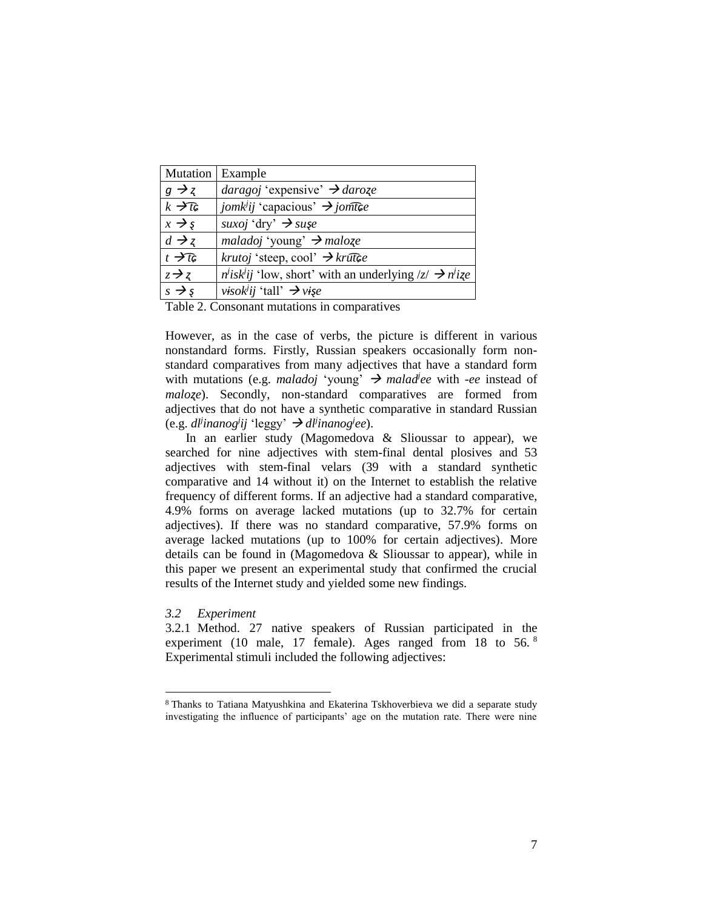| Mutation   Example |                                                                           |
|--------------------|---------------------------------------------------------------------------|
| $g \rightarrow z$  | <i>daragoj</i> 'expensive' $\rightarrow$ <i>daroze</i>                    |
| $k \rightarrow t$  | <i>jomk<sup>i</sup>ij</i> 'capacious' $\rightarrow$ <i>jomthe</i>         |
| $x \rightarrow s$  | suxoj 'dry' $\rightarrow$ sușe                                            |
| $d \rightarrow z$  | maladoj 'young' $\rightarrow$ maloze                                      |
| $t \rightarrow t$  | <i>krutoj</i> 'steep, cool' $\rightarrow$ <i>krutce</i>                   |
| $z \rightarrow z$  | $n'$ isk <sup>i</sup> ij 'low, short' with an underlying $ z  \to n'$ ize |
| $s \rightarrow s$  | <i>visok<sup>i</sup>ii</i> 'tall' $\rightarrow$ <i>vise</i>               |

Table 2. Consonant mutations in comparatives

However, as in the case of verbs, the picture is different in various nonstandard forms. Firstly, Russian speakers occasionally form nonstandard comparatives from many adjectives that have a standard form with mutations (e.g. *maladoj* 'young'  $\rightarrow$  *malad*<sup>*jee*</sup> with *-ee* instead of *maloʐe*). Secondly, non-standard comparatives are formed from adjectives that do not have a synthetic comparative in standard Russian  $(e.g.$   $dl$ *inanog<sup><i>i*</sup>ij 'leggy'  $\rightarrow$   $dl$ <sup>*inanog<sup>i</sup>ee*).</sup>

In an earlier study (Magomedova & Slioussar to appear), we searched for nine adjectives with stem-final dental plosives and 53 adjectives with stem-final velars (39 with a standard synthetic comparative and 14 without it) on the Internet to establish the relative frequency of different forms. If an adjective had a standard comparative, 4.9% forms on average lacked mutations (up to 32.7% for certain adjectives). If there was no standard comparative, 57.9% forms on average lacked mutations (up to 100% for certain adjectives). More details can be found in (Magomedova & Slioussar to appear), while in this paper we present an experimental study that confirmed the crucial results of the Internet study and yielded some new findings.

#### *3.2 Experiment*

 $\overline{a}$ 

3.2.1 Method. 27 native speakers of Russian participated in the experiment (10 male, 17 female). Ages ranged from 18 to 56.<sup>8</sup> Experimental stimuli included the following adjectives:

<sup>8</sup> Thanks to Tatiana Matyushkina and Ekaterina Tskhoverbieva we did a separate study investigating the influence of participants' age on the mutation rate. There were nine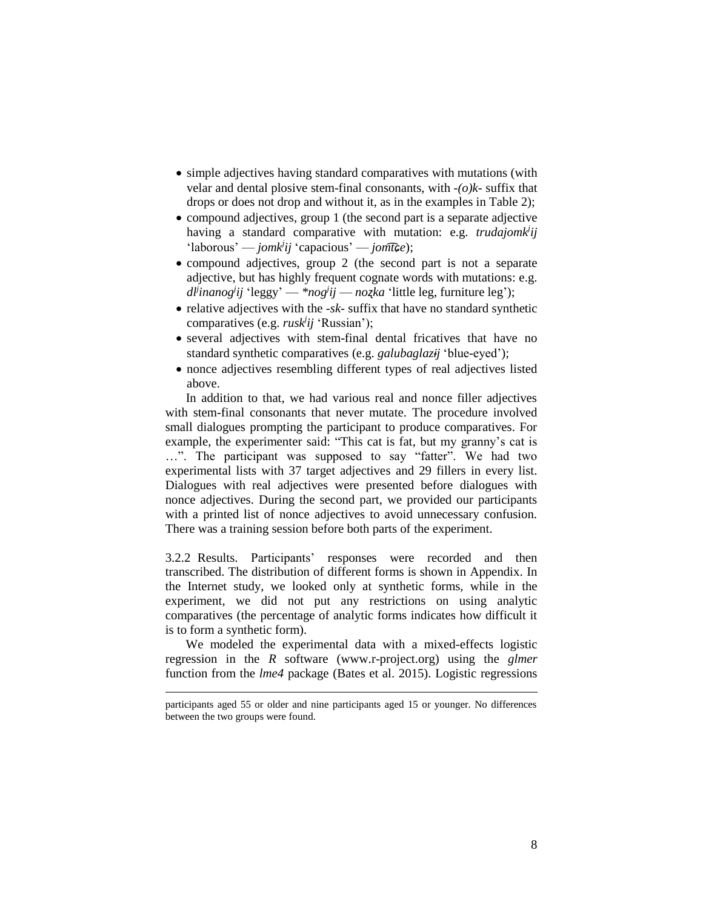- simple adjectives having standard comparatives with mutations (with velar and dental plosive stem-final consonants, with *-(o)k-* suffix that drops or does not drop and without it, as in the examples in Table 2);
- compound adjectives, group 1 (the second part is a separate adjective having a standard comparative with mutation: e.g. *trudajomk<sup>i</sup>ij* 'laborous' — *jomk<sup>j</sup> ij* 'capacious' — *jomt͡ɕe*);
- compound adjectives, group 2 (the second part is not a separate adjective, but has highly frequent cognate words with mutations: e.g. *dlj inanog<sup>j</sup> ij* 'leggy' — *\*nog<sup>j</sup> ij* — *noʐka* 'little leg, furniture leg');
- $\bullet$  relative adjectives with the *-sk-* suffix that have no standard synthetic comparatives (e.g. *rusk<sup>j</sup> ij* 'Russian');
- several adjectives with stem-final dental fricatives that have no standard synthetic comparatives (e.g. *galubaglazɨj* 'blue-eyed');
- nonce adjectives resembling different types of real adjectives listed above.

In addition to that, we had various real and nonce filler adjectives with stem-final consonants that never mutate. The procedure involved small dialogues prompting the participant to produce comparatives. For example, the experimenter said: "This cat is fat, but my granny's cat is …". The participant was supposed to say "fatter". We had two experimental lists with 37 target adjectives and 29 fillers in every list. Dialogues with real adjectives were presented before dialogues with nonce adjectives. During the second part, we provided our participants with a printed list of nonce adjectives to avoid unnecessary confusion. There was a training session before both parts of the experiment.

3.2.2 Results. Participants' responses were recorded and then transcribed. The distribution of different forms is shown in Appendix. In the Internet study, we looked only at synthetic forms, while in the experiment, we did not put any restrictions on using analytic comparatives (the percentage of analytic forms indicates how difficult it is to form a synthetic form).

We modeled the experimental data with a mixed-effects logistic regression in the *R* software (www.r-project.org) using the *glmer* function from the *lme4* package (Bates et al. 2015). Logistic regressions

participants aged 55 or older and nine participants aged 15 or younger. No differences between the two groups were found.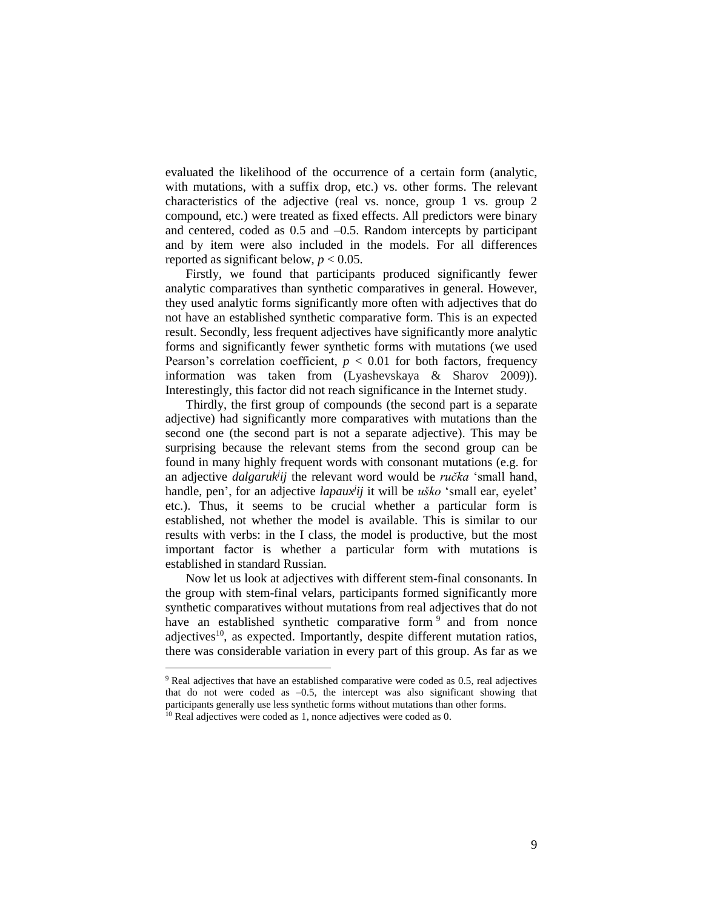evaluated the likelihood of the occurrence of a certain form (analytic, with mutations, with a suffix drop, etc.) vs. other forms. The relevant characteristics of the adjective (real vs. nonce, group 1 vs. group 2 compound, etc.) were treated as fixed effects. All predictors were binary and centered, coded as 0.5 and –0.5. Random intercepts by participant and by item were also included in the models. For all differences reported as significant below,  $p < 0.05$ .

Firstly, we found that participants produced significantly fewer analytic comparatives than synthetic comparatives in general. However, they used analytic forms significantly more often with adjectives that do not have an established synthetic comparative form. This is an expected result. Secondly, less frequent adjectives have significantly more analytic forms and significantly fewer synthetic forms with mutations (we used Pearson's correlation coefficient,  $p < 0.01$  for both factors, frequency information was taken from (Lyashevskaya & Sharov 2009)). Interestingly, this factor did not reach significance in the Internet study.

Thirdly, the first group of compounds (the second part is a separate adjective) had significantly more comparatives with mutations than the second one (the second part is not a separate adjective). This may be surprising because the relevant stems from the second group can be found in many highly frequent words with consonant mutations (e.g. for an adjective *dalgaruk<sup>j</sup> ij* the relevant word would be *ručka* 'small hand, handle, pen', for an adjective *lapaux<sup>j</sup> ij* it will be *uško* 'small ear, eyelet' etc.). Thus, it seems to be crucial whether a particular form is established, not whether the model is available. This is similar to our results with verbs: in the I class, the model is productive, but the most important factor is whether a particular form with mutations is established in standard Russian.

Now let us look at adjectives with different stem-final consonants. In the group with stem-final velars, participants formed significantly more synthetic comparatives without mutations from real adjectives that do not have an established synthetic comparative form<sup>9</sup> and from nonce adjectives<sup>10</sup>, as expected. Importantly, despite different mutation ratios, there was considerable variation in every part of this group. As far as we

<sup>9</sup> Real adjectives that have an established comparative were coded as 0.5, real adjectives that do not were coded as  $-0.5$ , the intercept was also significant showing that participants generally use less synthetic forms without mutations than other forms.

 $10$  Real adjectives were coded as 1, nonce adjectives were coded as 0.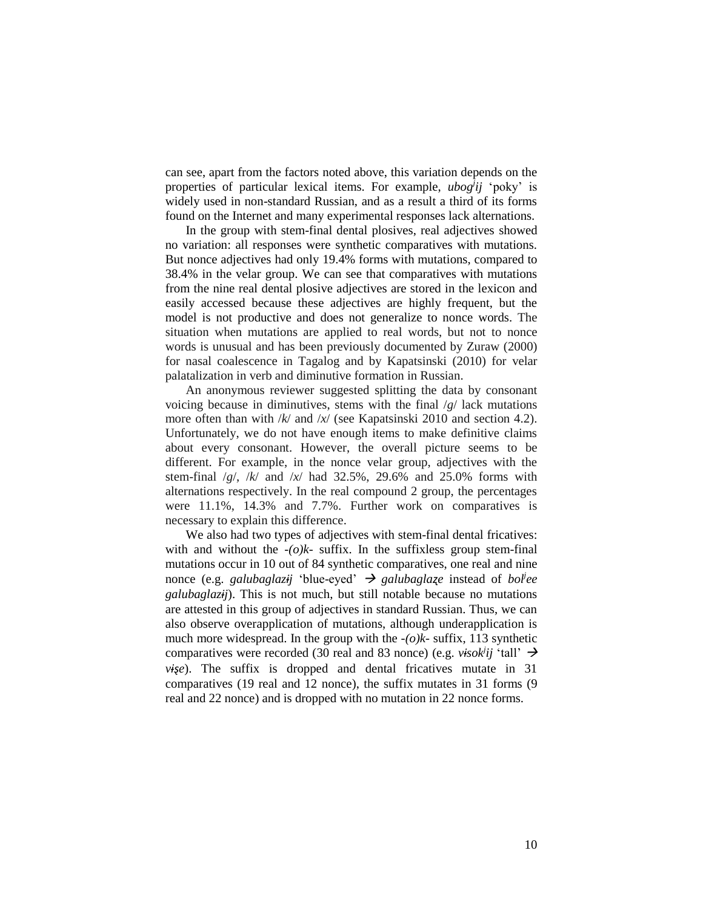can see, apart from the factors noted above, this variation depends on the properties of particular lexical items. For example, *ubog<sup>j</sup> ij* 'poky' is widely used in non-standard Russian, and as a result a third of its forms found on the Internet and many experimental responses lack alternations.

In the group with stem-final dental plosives, real adjectives showed no variation: all responses were synthetic comparatives with mutations. But nonce adjectives had only 19.4% forms with mutations, compared to 38.4% in the velar group. We can see that comparatives with mutations from the nine real dental plosive adjectives are stored in the lexicon and easily accessed because these adjectives are highly frequent, but the model is not productive and does not generalize to nonce words. The situation when mutations are applied to real words, but not to nonce words is unusual and has been previously documented by Zuraw (2000) for nasal coalescence in Tagalog and by Kapatsinski (2010) for velar palatalization in verb and diminutive formation in Russian.

An anonymous reviewer suggested splitting the data by consonant voicing because in diminutives, stems with the final /*g*/ lack mutations more often than with /*k*/ and /*x*/ (see Kapatsinski 2010 and section 4.2). Unfortunately, we do not have enough items to make definitive claims about every consonant. However, the overall picture seems to be different. For example, in the nonce velar group, adjectives with the stem-final /*g*/, /*k*/ and /*x*/ had 32.5%, 29.6% and 25.0% forms with alternations respectively. In the real compound 2 group, the percentages were 11.1%, 14.3% and 7.7%. Further work on comparatives is necessary to explain this difference.

We also had two types of adjectives with stem-final dental fricatives: with and without the *-(o)k-* suffix. In the suffixless group stem-final mutations occur in 10 out of 84 synthetic comparatives, one real and nine nonce (e.g. *galubaglazɨj* 'blue-eyed' *galubaglaʐe* instead of *bol<sup>j</sup> ee galubaglazɨj*). This is not much, but still notable because no mutations are attested in this group of adjectives in standard Russian. Thus, we can also observe overapplication of mutations, although underapplication is much more widespread. In the group with the *-(o)k-* suffix, 113 synthetic comparatives were recorded (30 real and 83 nonce) (e.g. *visok<sup>j</sup>ij* 'tall'  $\rightarrow$ *vise*). The suffix is dropped and dental fricatives mutate in 31 comparatives (19 real and 12 nonce), the suffix mutates in 31 forms (9 real and 22 nonce) and is dropped with no mutation in 22 nonce forms.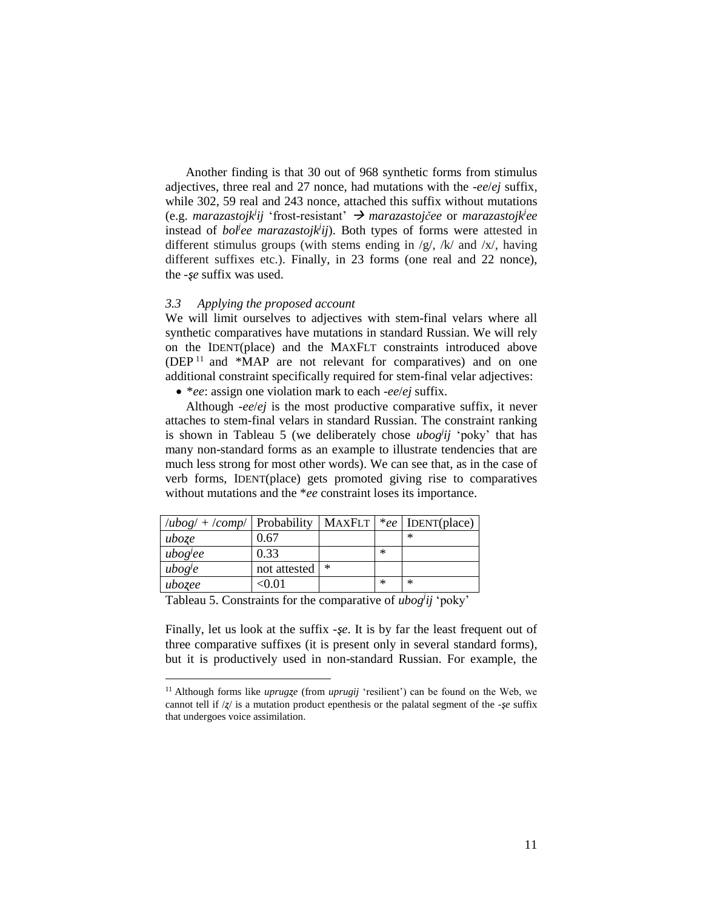Another finding is that 30 out of 968 synthetic forms from stimulus adjectives, three real and 27 nonce, had mutations with the *-ee*/*ej* suffix, while 302, 59 real and 243 nonce, attached this suffix without mutations (e.g. *marazastojk<sup>j</sup> ij* 'frost-resistant' *marazastojčee* or *marazastojk<sup>j</sup> ee*  instead of *bol<sup>j</sup>ee marazastojk*<sup>*ij*</sup>). Both types of forms were attested in different stimulus groups (with stems ending in  $/g/$ ,  $/k/$  and  $/x/$ , having different suffixes etc.). Finally, in 23 forms (one real and 22 nonce), the *-ȿe* suffix was used.

### *3.3 Applying the proposed account*

We will limit ourselves to adjectives with stem-final velars where all synthetic comparatives have mutations in standard Russian. We will rely on the IDENT(place) and the MAXFLT constraints introduced above (DEP <sup>11</sup> and \*MAP are not relevant for comparatives) and on one additional constraint specifically required for stem-final velar adjectives:

\**ee*: assign one violation mark to each *-ee*/*ej* suffix.

Although *-ee*/*ej* is the most productive comparative suffix, it never attaches to stem-final velars in standard Russian. The constraint ranking is shown in Tableau 5 (we deliberately chose *ubog<sup>j</sup> ij* 'poky' that has many non-standard forms as an example to illustrate tendencies that are much less strong for most other words). We can see that, as in the case of verb forms, IDENT(place) gets promoted giving rise to comparatives without mutations and the \**ee* constraint loses its importance.

| $\langle ubog/ + \langle comp/  $ Probability |              | MAXFLT |        | *ee   IDENT(place) |
|-----------------------------------------------|--------------|--------|--------|--------------------|
| uboze                                         | 0.67         |        |        | ∗                  |
| ubog <sup>j</sup> ee                          | 0.33         |        | $\ast$ |                    |
| ubog <sup>j</sup> e                           | not attested | $\ast$ |        |                    |
| ubozee                                        | <0.01        |        | $\ast$ | $\ast$             |

Tableau 5. Constraints for the comparative of *ubog<sup>j</sup> ij* 'poky'

 $\overline{a}$ 

Finally, let us look at the suffix *-ṣe*. It is by far the least frequent out of three comparative suffixes (it is present only in several standard forms), but it is productively used in non-standard Russian. For example, the

<sup>&</sup>lt;sup>11</sup> Although forms like *uprugze* (from *uprugij* 'resilient') can be found on the Web, we cannot tell if /*ʐ*/ is a mutation product epenthesis or the palatal segment of the *-ȿe* suffix that undergoes voice assimilation.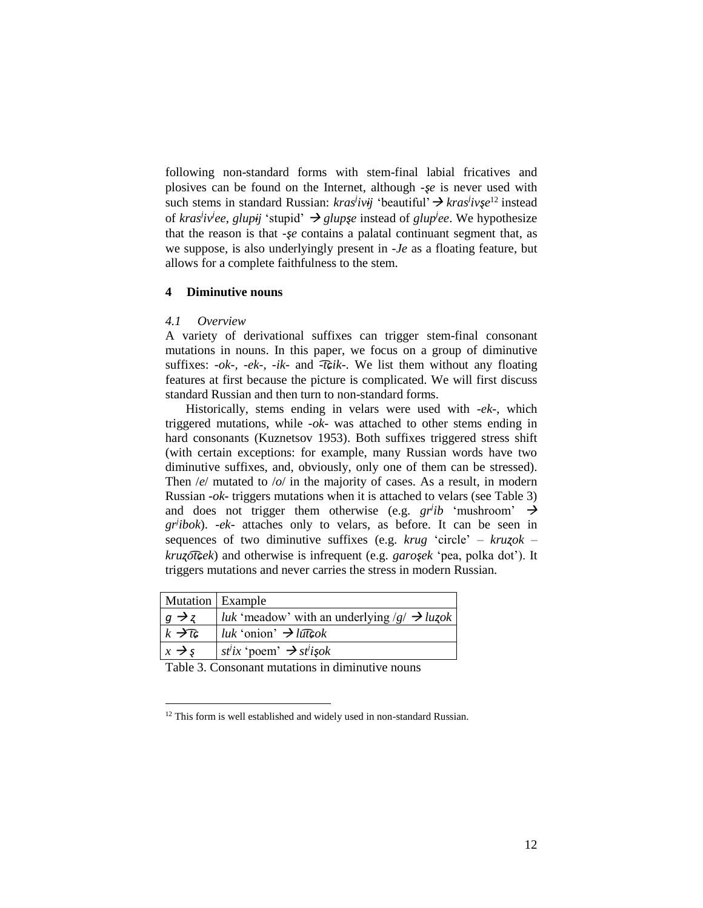following non-standard forms with stem-final labial fricatives and plosives can be found on the Internet, although *-ȿe* is never used with such stems in standard Russian:  $kras<sup>j</sup>iv<sup>j</sup>$  'beautiful'  $\rightarrow kras<sup>j</sup>iv\xi e<sup>12</sup>$  instead of *kras<sup>j</sup> ivj ee*, *glupɨj* 'stupid' *glupȿe* instead of *glup<sup>j</sup> ee*. We hypothesize that the reason is that *-șe* contains a palatal continuant segment that, as we suppose, is also underlyingly present in *-Je* as a floating feature, but allows for a complete faithfulness to the stem.

## **4 Diminutive nouns**

### *4.1 Overview*

 $\overline{a}$ 

A variety of derivational suffixes can trigger stem-final consonant mutations in nouns. In this paper, we focus on a group of diminutive suffixes: *-ok-, -ek-, -ik-* and *-t͡ɕik-.* We list them without any floating features at first because the picture is complicated. We will first discuss standard Russian and then turn to non-standard forms.

Historically, stems ending in velars were used with *-ek-*, which triggered mutations, while *-ok-* was attached to other stems ending in hard consonants (Kuznetsov 1953). Both suffixes triggered stress shift (with certain exceptions: for example, many Russian words have two diminutive suffixes, and, obviously, only one of them can be stressed). Then /*e*/ mutated to /*o*/ in the majority of cases. As a result, in modern Russian *-ok-* triggers mutations when it is attached to velars (see Table 3) and does not trigger them otherwise (e.g.  $gr<sup>j</sup>ib$  'mushroom'  $\rightarrow$ *grj ibok*). *-ek-* attaches only to velars, as before. It can be seen in sequences of two diminutive suffixes (e.g. *krug* 'circle' – *kruʐok* – *kruʐot͡ɕek*) and otherwise is infrequent (e.g. *garoȿek* 'pea, polka dot'). It triggers mutations and never carries the stress in modern Russian.

| Mutation   Example   |                                                                                                                 |
|----------------------|-----------------------------------------------------------------------------------------------------------------|
| $g \rightarrow z$    | luk 'meadow' with an underlying $/g \rightarrow luzok$                                                          |
| $k \rightarrow t$    | $  luk$ 'onion' $\rightarrow$ luttrible likely                                                                  |
| $x \rightarrow s$    | $s^i$ ix 'poem' $\rightarrow s^i$ isok                                                                          |
| $\sim$ $\sim$ $\sim$ | the contract of the contract of the contract of the contract of the contract of the contract of the contract of |

Table 3. Consonant mutations in diminutive nouns

<sup>&</sup>lt;sup>12</sup> This form is well established and widely used in non-standard Russian.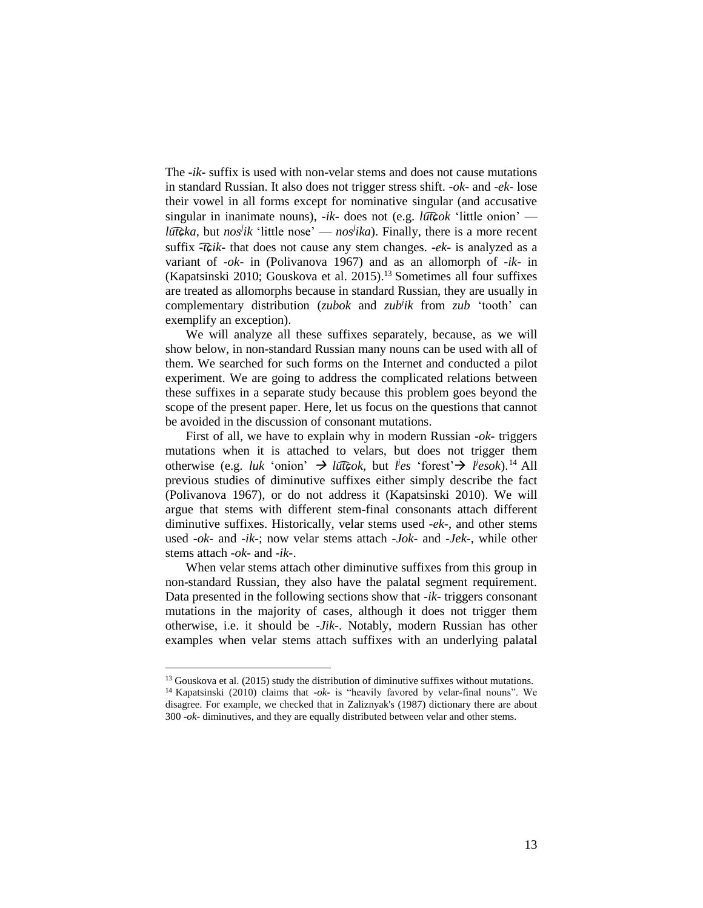The *-ik-* suffix is used with non-velar stems and does not cause mutations in standard Russian. It also does not trigger stress shift. *-ok-* and *-ek-* lose their vowel in all forms except for nominative singular (and accusative singular in inanimate nouns), *-ik-* does not (e.g. *lut͡ɕok* 'little onion' *lut͡ɕka,* but *nos<sup>j</sup> ik* 'little nose' — *nos<sup>j</sup> ika*). Finally, there is a more recent suffix *-t͡ɕik-* that does not cause any stem changes. *-ek-* is analyzed as a variant of *-ok-* in (Polivanova 1967) and as an allomorph of *-ik-* in (Kapatsinski 2010; Gouskova et al. 2015). <sup>13</sup> Sometimes all four suffixes are treated as allomorphs because in standard Russian, they are usually in complementary distribution (*zubok* and *zub<sup>j</sup> ik* from *zub* 'tooth' can exemplify an exception).

We will analyze all these suffixes separately, because, as we will show below, in non-standard Russian many nouns can be used with all of them. We searched for such forms on the Internet and conducted a pilot experiment. We are going to address the complicated relations between these suffixes in a separate study because this problem goes beyond the scope of the present paper. Here, let us focus on the questions that cannot be avoided in the discussion of consonant mutations.

First of all, we have to explain why in modern Russian *-ok-* triggers mutations when it is attached to velars, but does not trigger them otherwise (e.g. *luk* 'onion'  $\rightarrow$  *luttook*, but *l*'es 'forest' $\rightarrow$  *l*'esok).<sup>14</sup> All previous studies of diminutive suffixes either simply describe the fact (Polivanova 1967), or do not address it (Kapatsinski 2010). We will argue that stems with different stem-final consonants attach different diminutive suffixes. Historically, velar stems used *-ek-*, and other stems used *-ok-* and *-ik-*; now velar stems attach *-Jok-* and *-Jek-*, while other stems attach *-ok-* and *-ik-*.

When velar stems attach other diminutive suffixes from this group in non-standard Russian, they also have the palatal segment requirement. Data presented in the following sections show that *-ik-* triggers consonant mutations in the majority of cases, although it does not trigger them otherwise, i.e. it should be *-Jik-*. Notably, modern Russian has other examples when velar stems attach suffixes with an underlying palatal

<sup>&</sup>lt;sup>13</sup> Gouskova et al. (2015) study the distribution of diminutive suffixes without mutations. <sup>14</sup> Kapatsinski (2010) claims that *-ok-* is "heavily favored by velar-final nouns". We disagree. For example, we checked that in Zaliznyak's (1987) dictionary there are about 300 *-ok-* diminutives, and they are equally distributed between velar and other stems.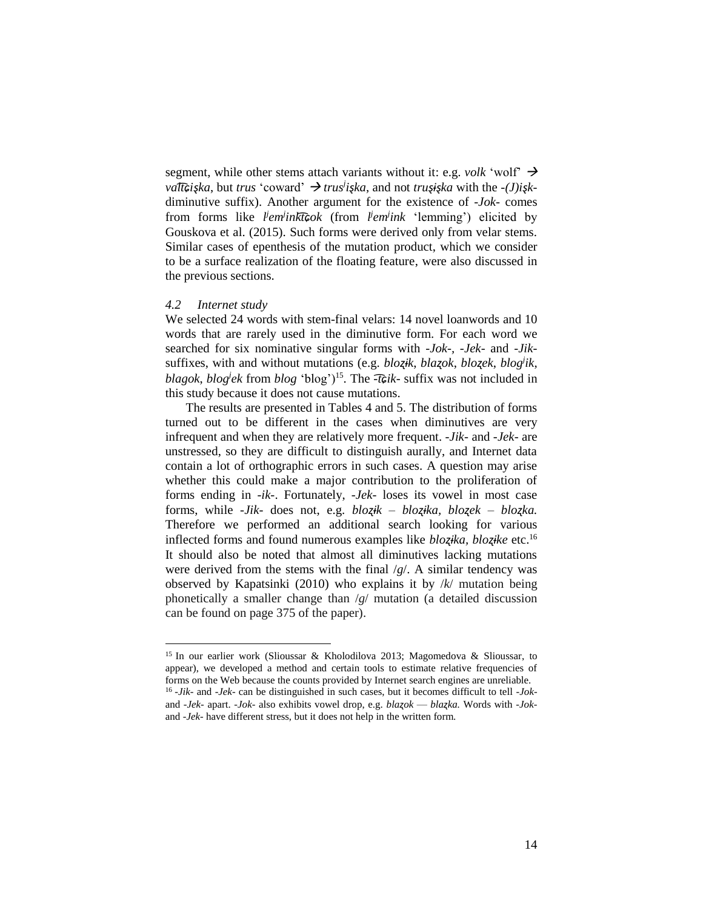segment, while other stems attach variants without it: e.g. *volk* 'wolf'  $\rightarrow$ *valt̄͡ɕişka*, but *trus* 'coward' → *trus<sup><i>i*</sup></sup>işka, and not *truşişka* with the *-*(*J*)*i*<sub>s</sub>*k*diminutive suffix). Another argument for the existence of *-Jok-* comes from forms like *l j em<sup>j</sup> inkt͡ɕok* (from *l j em<sup>j</sup> ink* 'lemming') elicited by Gouskova et al. (2015). Such forms were derived only from velar stems. Similar cases of epenthesis of the mutation product, which we consider to be a surface realization of the floating feature, were also discussed in the previous sections.

#### *4.2 Internet study*

 $\overline{a}$ 

We selected 24 words with stem-final velars: 14 novel loanwords and 10 words that are rarely used in the diminutive form. For each word we searched for six nominative singular forms with *-Jok-, -Jek-* and *-Jik*suffixes, with and without mutations (e.g. *bloʐɨk*, *blaʐok*, *bloʐek*, *blog<sup>j</sup> ik*, *blagok*, *blog<sup>j</sup> ek* from *blog* 'blog')<sup>15</sup> . The *-t͡ɕik-* suffix was not included in this study because it does not cause mutations.

The results are presented in Tables 4 and 5. The distribution of forms turned out to be different in the cases when diminutives are very infrequent and when they are relatively more frequent. *-Jik-* and *-Jek-* are unstressed, so they are difficult to distinguish aurally, and Internet data contain a lot of orthographic errors in such cases. A question may arise whether this could make a major contribution to the proliferation of forms ending in *-ik-*. Fortunately, *-Jek-* loses its vowel in most case forms, while *-Jik-* does not, e.g. *bloʐɨk* – *bloʐɨka, bloʐek* – *bloʐka.*  Therefore we performed an additional search looking for various inflected forms and found numerous examples like *bloʐɨka, bloʐɨke* etc.<sup>16</sup> It should also be noted that almost all diminutives lacking mutations were derived from the stems with the final /*g*/. A similar tendency was observed by Kapatsinki (2010) who explains it by /*k*/ mutation being phonetically a smaller change than /*g*/ mutation (a detailed discussion can be found on page 375 of the paper).

<sup>&</sup>lt;sup>15</sup> In our earlier work (Slioussar & Kholodilova 2013; Magomedova & Slioussar, to appear), we developed a method and certain tools to estimate relative frequencies of forms on the Web because the counts provided by Internet search engines are unreliable. 16 *-Jik-* and *-Jek-* can be distinguished in such cases, but it becomes difficult to tell *-Jok*and *-Jek-* apart. *-Jok-* also exhibits vowel drop, e.g. *blaʐok* — *blaʐka.* Words with *-Jok*and *-Jek-* have different stress, but it does not help in the written form.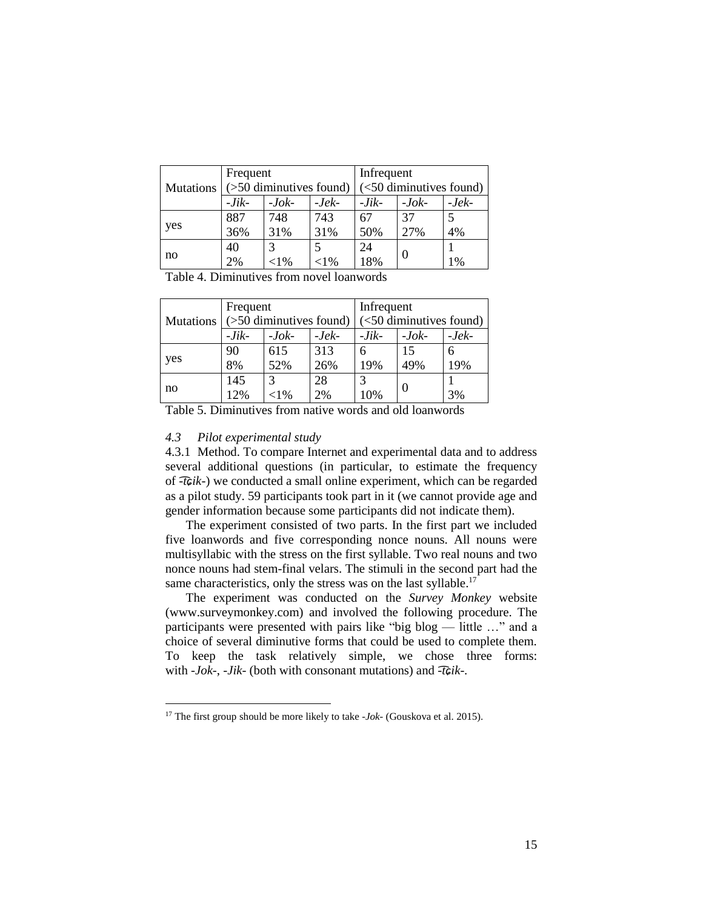|                  | Frequent                   |          |          | Infrequent                               |          |         |
|------------------|----------------------------|----------|----------|------------------------------------------|----------|---------|
| <b>Mutations</b> | $($ >50 diminutives found) |          |          | $\left( < 50 \right)$ diminutives found) |          |         |
|                  | $-Jik-$                    | $-Jok-$  | $-Jek-$  | $-Jik-$                                  | $-Jok-$  | $-Jek-$ |
|                  | 887                        | 748      | 743      | 67                                       | 37       |         |
| yes              | 36%                        | 31%      | 31%      | 50%                                      | 27%      | 4%      |
|                  | 40                         |          |          | 24                                       |          |         |
| no               | 2%                         | ${<}1\%$ | ${<}1\%$ | 18%                                      | $\theta$ | 1%      |

Table 4. Diminutives from novel loanwords

|                  | Frequent                   |               |         | Infrequent              |          |         |  |
|------------------|----------------------------|---------------|---------|-------------------------|----------|---------|--|
| <b>Mutations</b> | $($ >50 diminutives found) |               |         | (<50 diminutives found) |          |         |  |
|                  | $-Jik-$                    | $-Jok-$       | $-Jek-$ | $-Jik-$                 | $-Jok-$  | $-Jek-$ |  |
|                  | 90                         | 615           | 313     | 6                       | 15       | 6       |  |
| yes              | 8%                         | 52%           | 26%     | 19%                     | 49%      | 19%     |  |
| no               | 145                        | $\mathcal{R}$ | 28      | 2                       |          |         |  |
|                  | 12%                        | ${<}1\%$      | 2%      | 10%                     | $\theta$ | 3%      |  |

Table 5. Diminutives from native words and old loanwords

## *4.3 Pilot experimental study*

 $\overline{a}$ 

4.3.1 Method. To compare Internet and experimental data and to address several additional questions (in particular, to estimate the frequency of *-t͡ɕik-*) we conducted a small online experiment, which can be regarded as a pilot study. 59 participants took part in it (we cannot provide age and gender information because some participants did not indicate them).

The experiment consisted of two parts. In the first part we included five loanwords and five corresponding nonce nouns. All nouns were multisyllabic with the stress on the first syllable. Two real nouns and two nonce nouns had stem-final velars. The stimuli in the second part had the same characteristics, only the stress was on the last syllable.<sup>17</sup>

The experiment was conducted on the *Survey Monkey* website (www.surveymonkey.com) and involved the following procedure. The participants were presented with pairs like "big blog — little …" and a choice of several diminutive forms that could be used to complete them. To keep the task relatively simple, we chose three forms: with *-Jok-*, *-Jik-* (both with consonant mutations) and *-t͡ɕik-.*

<sup>17</sup> The first group should be more likely to take *-Jok-* (Gouskova et al. 2015).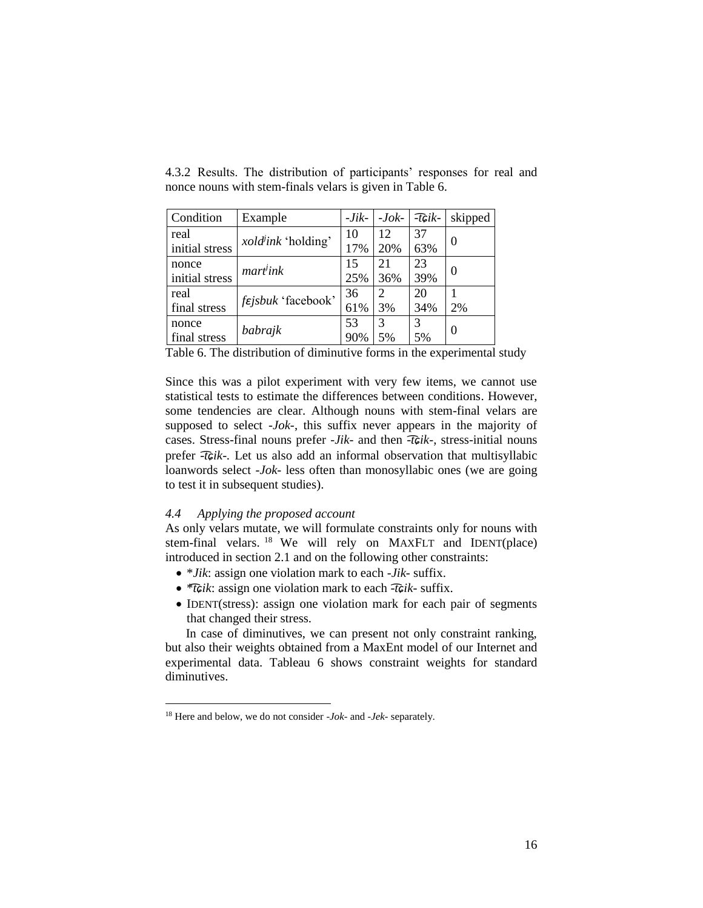| Condition      | Example                   | $-Jik-$ | $-Jok-$ | $-$ <i>t</i> $Gik-$ | skipped |  |
|----------------|---------------------------|---------|---------|---------------------|---------|--|
| real           | <i>xold</i> ink 'holding' | 10      | 12      | 37                  | 0       |  |
| initial stress |                           | 17%     | 20%     | 63%                 |         |  |
| nonce          | mart <sup>j</sup> ink     | 15      | 21      | 23                  | 0       |  |
| initial stress |                           | 25%     | 36%     | 39%                 |         |  |
| real           | <i>fejsbuk</i> 'facebook' | 36      | 2       | 20                  |         |  |
| final stress   |                           | 61%     | 3%      | 34%                 | 2%      |  |
| nonce          | babrajk                   | 53      | 3       | 3                   | 0       |  |
| final stress   |                           | 90%     | 5%      | 5%                  |         |  |

4.3.2 Results. The distribution of participants' responses for real and nonce nouns with stem-finals velars is given in Table 6.

Table 6. The distribution of diminutive forms in the experimental study

Since this was a pilot experiment with very few items, we cannot use statistical tests to estimate the differences between conditions. However, some tendencies are clear. Although nouns with stem-final velars are supposed to select *-Jok-*, this suffix never appears in the majority of cases. Stress-final nouns prefer *-Jik-* and then *-t͡ɕik-*, stress-initial nouns prefer *-t͡ɕik-.* Let us also add an informal observation that multisyllabic loanwords select *-Jok-* less often than monosyllabic ones (we are going to test it in subsequent studies).

## *4.4 Applying the proposed account*

 $\overline{a}$ 

As only velars mutate, we will formulate constraints only for nouns with stem-final velars. <sup>18</sup> We will rely on MAXFLT and IDENT(place) introduced in section 2.1 and on the following other constraints:

- \**Jik*: assign one violation mark to each *-Jik-* suffix.
- \**t͡ɕik*: assign one violation mark to each *-t͡ɕik-* suffix.
- IDENT(stress): assign one violation mark for each pair of segments that changed their stress.

In case of diminutives, we can present not only constraint ranking, but also their weights obtained from a MaxEnt model of our Internet and experimental data. Tableau 6 shows constraint weights for standard diminutives.

<sup>18</sup> Here and below, we do not consider *-Jok-* and *-Jek-* separately.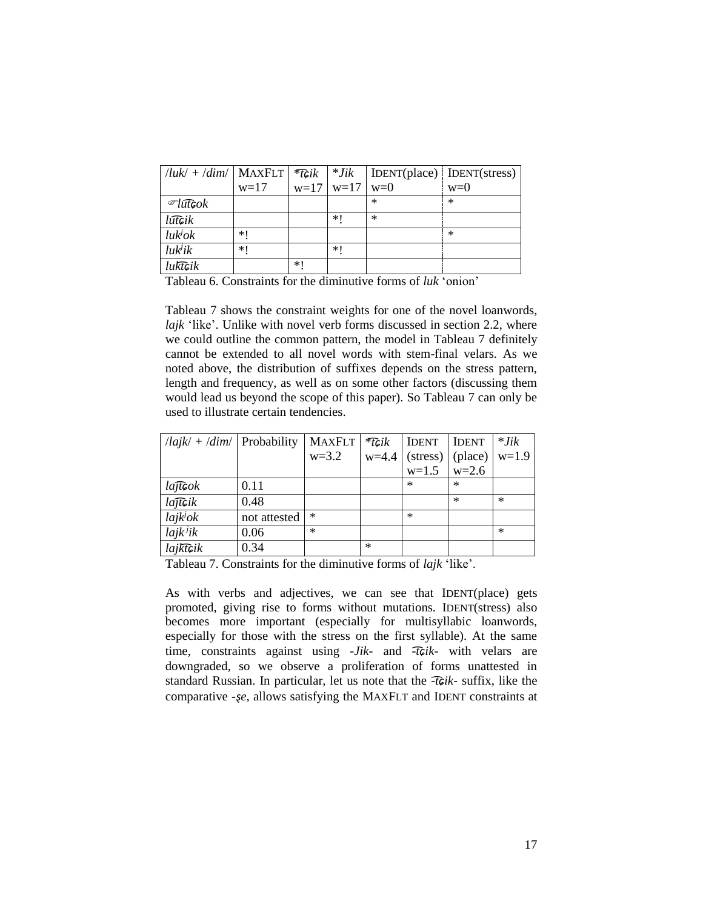| $ luk  +  dim $ MAXFLT $ \mathcal{F}$ Gik |        |        | $*Jik$ |        | $\vert$ IDENT(place) $\vert$ IDENT(stress) |
|-------------------------------------------|--------|--------|--------|--------|--------------------------------------------|
|                                           | $w=17$ | $w=17$ | $w=17$ | $w=0$  | $w=0$                                      |
| $\mathcal{L}$ lut $\mathcal{G}$ ok        |        |        |        | $\ast$ | $\ast$                                     |
| lūtcik                                    |        |        | $*1$   | $*$    |                                            |
| luk <sup>j</sup> ok                       | ∗∣     |        |        |        | $\ast$                                     |
| luk <sup>j</sup> ik                       | $*1$   |        | $*1$   |        |                                            |
| luktcik                                   |        | $*1$   |        |        |                                            |

Tableau 6. Constraints for the diminutive forms of *luk* 'onion'

Tableau 7 shows the constraint weights for one of the novel loanwords, *lajk* 'like'. Unlike with novel verb forms discussed in section 2.2, where we could outline the common pattern, the model in Tableau 7 definitely cannot be extended to all novel words with stem-final velars. As we noted above, the distribution of suffixes depends on the stress pattern, length and frequency, as well as on some other factors (discussing them would lead us beyond the scope of this paper). So Tableau 7 can only be used to illustrate certain tendencies.

| $\lceil$ /lajk/ + /dim/   Probability |              | <b>MAXFLT</b> | $*$ TGi $k$ | <b>IDENT</b>             | <b>IDENT</b> | $*$ Jik |
|---------------------------------------|--------------|---------------|-------------|--------------------------|--------------|---------|
|                                       |              | $w=3.2$       |             | $w=4.4$ (stress) (place) |              | $w=1.9$ |
|                                       |              |               |             | $w=1.5$                  | $w=2.6$      |         |
| lajtcok                               | 0.11         |               |             | $\ast$                   | $\ast$       |         |
| lajt¢ik                               | 0.48         |               |             |                          | $\ast$       | $\ast$  |
| $lajk^j$ ok                           | not attested | $\ast$        |             | $\ast$                   |              |         |
| $lajk^{j}ik$                          | 0.06         | $\ast$        |             |                          |              | $\ast$  |
| $l$ aj $k\widehat{t}$ Gik             | 0.34         |               | $\ast$      |                          |              |         |

Tableau 7. Constraints for the diminutive forms of *lajk* 'like'.

As with verbs and adjectives, we can see that IDENT(place) gets promoted, giving rise to forms without mutations. IDENT(stress) also becomes more important (especially for multisyllabic loanwords, especially for those with the stress on the first syllable). At the same time, constraints against using *-Jik-* and *-t͡ɕik-* with velars are downgraded, so we observe a proliferation of forms unattested in standard Russian. In particular, let us note that the *-t͡ɕik-* suffix, like the comparative *-se*, allows satisfying the MAXFLT and IDENT constraints at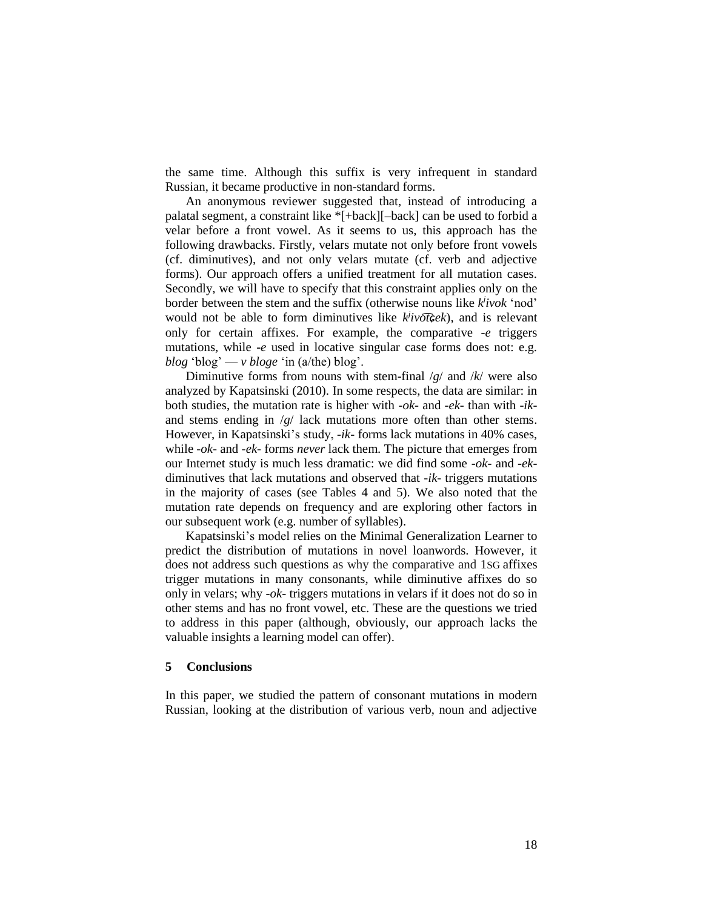the same time. Although this suffix is very infrequent in standard Russian, it became productive in non-standard forms.

An anonymous reviewer suggested that, instead of introducing a palatal segment, a constraint like \*[+back][–back] can be used to forbid a velar before a front vowel. As it seems to us, this approach has the following drawbacks. Firstly, velars mutate not only before front vowels (cf. diminutives), and not only velars mutate (cf. verb and adjective forms). Our approach offers a unified treatment for all mutation cases. Secondly, we will have to specify that this constraint applies only on the border between the stem and the suffix (otherwise nouns like *k j ivok* 'nod' would not be able to form diminutives like  $k$ <sup>*i*</sup> *ivotcek*), and is relevant only for certain affixes. For example, the comparative *-e* triggers mutations, while *-e* used in locative singular case forms does not: e.g. *blog* 'blog' —  $\nu$  *bloge* 'in (a/the) blog'.

Diminutive forms from nouns with stem-final /*g*/ and /*k*/ were also analyzed by Kapatsinski (2010). In some respects, the data are similar: in both studies, the mutation rate is higher with *-ok-* and *-ek-* than with *-ik*and stems ending in /*g*/ lack mutations more often than other stems. However, in Kapatsinski's study, *-ik-* forms lack mutations in 40% cases, while *-ok-* and *-ek-* forms *never* lack them. The picture that emerges from our Internet study is much less dramatic: we did find some *-ok-* and *-ek*diminutives that lack mutations and observed that *-ik-* triggers mutations in the majority of cases (see Tables 4 and 5). We also noted that the mutation rate depends on frequency and are exploring other factors in our subsequent work (e.g. number of syllables).

Kapatsinski's model relies on the Minimal Generalization Learner to predict the distribution of mutations in novel loanwords. However, it does not address such questions as why the comparative and 1SG affixes trigger mutations in many consonants, while diminutive affixes do so only in velars; why *-ok-* triggers mutations in velars if it does not do so in other stems and has no front vowel, etc. These are the questions we tried to address in this paper (although, obviously, our approach lacks the valuable insights a learning model can offer).

#### **5 Conclusions**

In this paper, we studied the pattern of consonant mutations in modern Russian, looking at the distribution of various verb, noun and adjective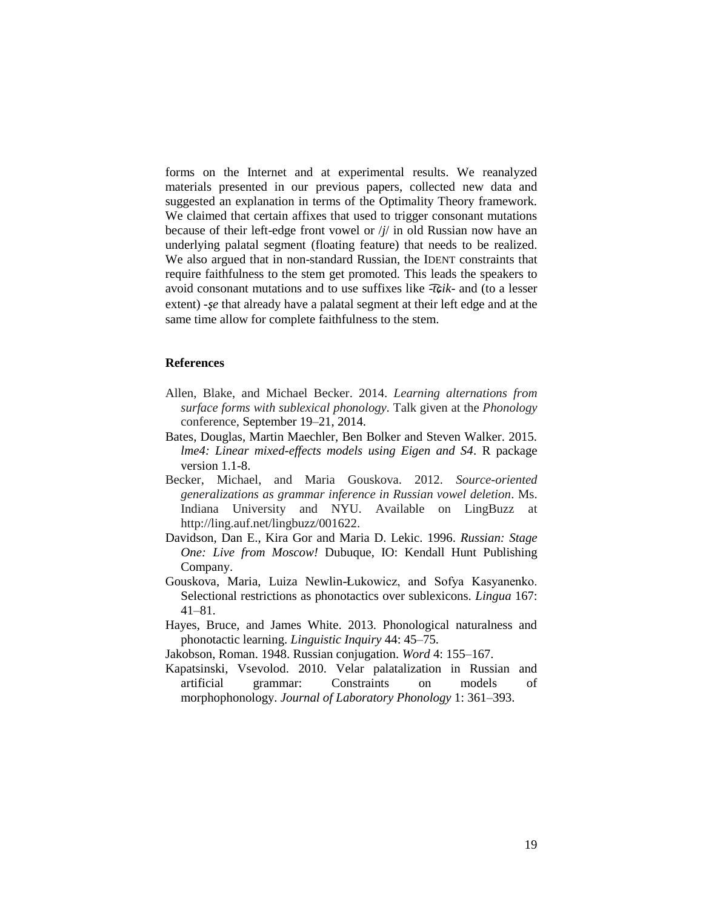forms on the Internet and at experimental results. We reanalyzed materials presented in our previous papers, collected new data and suggested an explanation in terms of the Optimality Theory framework. We claimed that certain affixes that used to trigger consonant mutations because of their left-edge front vowel or /*j*/ in old Russian now have an underlying palatal segment (floating feature) that needs to be realized. We also argued that in non-standard Russian, the IDENT constraints that require faithfulness to the stem get promoted. This leads the speakers to avoid consonant mutations and to use suffixes like -*t͡ɕik*- and (to a lesser extent) *-se* that already have a palatal segment at their left edge and at the same time allow for complete faithfulness to the stem.

#### **References**

- Allen, Blake, and Michael Becker. 2014. *Learning alternations from surface forms with sublexical phonology.* Talk given at the *Phonology* conference, September 19–21, 2014.
- Bates, Douglas, Martin Maechler, Ben Bolker and Steven Walker. 2015. *lme4: Linear mixed-effects models using Eigen and S4*. R package version 1.1-8.
- Becker, Michael, and Maria Gouskova. 2012. *Source-oriented generalizations as grammar inference in Russian vowel deletion*. Ms. Indiana University and NYU. Available on LingBuzz at http://ling.auf.net/lingbuzz/001622.
- Davidson, Dan E., Kira Gor and Maria D. Lekic. 1996. *Russian: Stage One: Live from Moscow!* Dubuque, IO: Kendall Hunt Publishing Company.
- Gouskova, Maria, Luiza Newlin-Łukowicz, and Sofya Kasyanenko. Selectional restrictions as phonotactics over sublexicons. *Lingua* 167: 41–81.
- Hayes, Bruce, and James White. 2013. Phonological naturalness and phonotactic learning. *Linguistic Inquiry* 44: 45–75.
- Jakobson, Roman. 1948. Russian conjugation. *Word* 4: 155–167.
- Kapatsinski, Vsevolod. 2010. Velar palatalization in Russian and artificial grammar: Constraints on models of morphophonology. *Journal of Laboratory Phonology* 1: 361–393.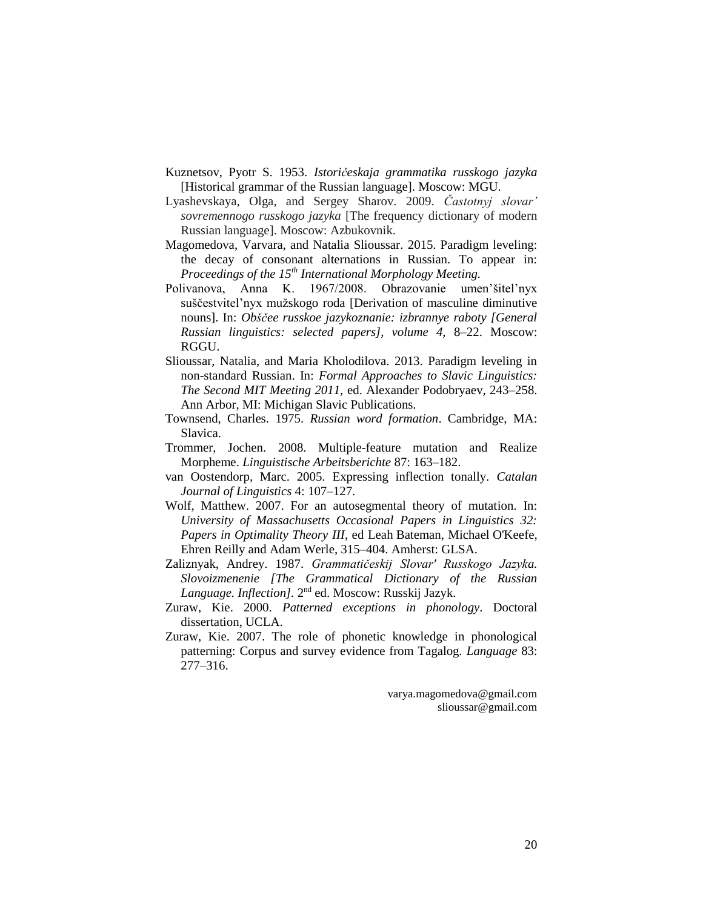- Kuznetsov, Pyotr S. 1953. *Istoričeskaja grammatika russkogo jazyka* [Historical grammar of the Russian language]. Moscow: MGU.
- Lyashevskaya, Olga, and Sergey Sharov. 2009. *Častotnyj slovar' sovremennogo russkogo jazyka* [The frequency dictionary of modern Russian language]. Moscow: Azbukovnik.
- Magomedova, Varvara, and Natalia Slioussar. 2015. Paradigm leveling: the decay of consonant alternations in Russian. To appear in: *Proceedings of the 15th International Morphology Meeting.*
- Polivanova, Anna K. 1967/2008. Obrazovanie umen'šitel'nyx suščestvitel'nyx mužskogo roda [Derivation of masculine diminutive nouns]. In: *Obščee russkoe jazykoznanie: izbrannye raboty [General Russian linguistics: selected papers], volume 4,* 8–22. Moscow: RGGU.
- Slioussar, Natalia, and Maria Kholodilova. 2013. Paradigm leveling in non-standard Russian. In: *Formal Approaches to Slavic Linguistics: The Second MIT Meeting 2011,* ed. Alexander Podobryaev, 243–258. Ann Arbor, MI: Michigan Slavic Publications.
- Townsend, Charles. 1975. *Russian word formation*. Cambridge, MA: Slavica.
- Trommer, Jochen. 2008. Multiple-feature mutation and Realize Morpheme. *Linguistische Arbeitsberichte* 87: 163–182.
- van Oostendorp, Marc. 2005. Expressing inflection tonally. *Catalan Journal of Linguistics* 4: 107–127.
- Wolf, Matthew. 2007. For an autosegmental theory of mutation. In: *University of Massachusetts Occasional Papers in Linguistics 32: Papers in Optimality Theory III*, ed Leah Bateman, Michael O'Keefe, Ehren Reilly and Adam Werle, 315–404. Amherst: GLSA.
- Zaliznyak, Andrey. 1987. *Grammatičeskij Slovar' Russkogo Jazyka. Slovoizmenenie [The Grammatical Dictionary of the Russian*  Language. Inflection]. 2<sup>nd</sup> ed. Moscow: Russkij Jazyk.
- Zuraw, Kie. 2000. *Patterned exceptions in phonology*. Doctoral dissertation, UCLA.
- Zuraw, Kie. 2007. The role of phonetic knowledge in phonological patterning: Corpus and survey evidence from Tagalog. *Language* 83: 277–316.

varya.magomedova@gmail.com slioussar@gmail.com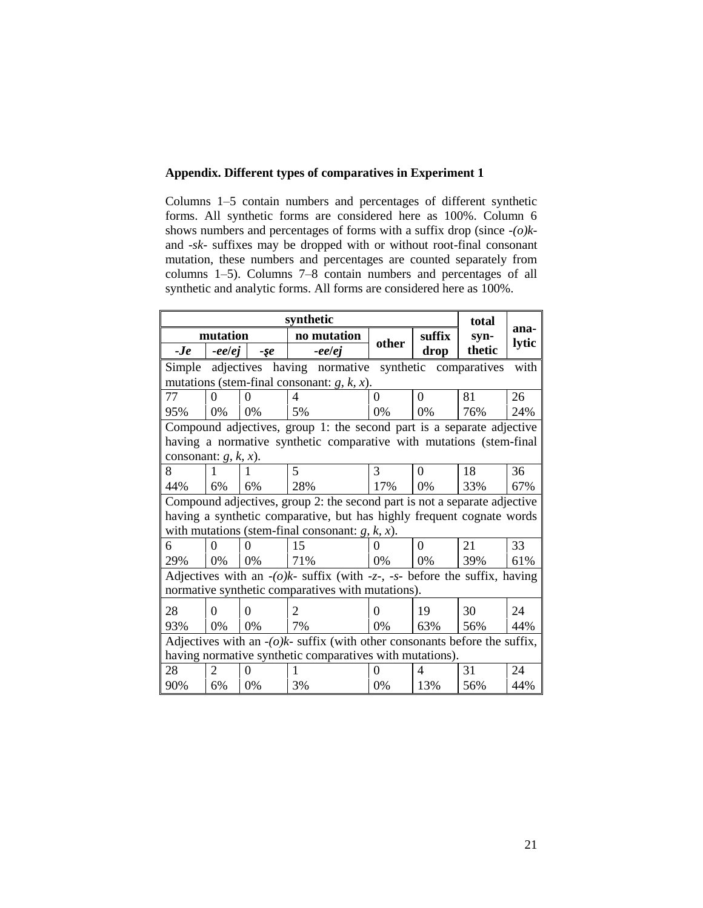## **Appendix. Different types of comparatives in Experiment 1**

Columns 1–5 contain numbers and percentages of different synthetic forms. All synthetic forms are considered here as 100%. Column 6 shows numbers and percentages of forms with a suffix drop (since *-(o)k*and *-sk-* suffixes may be dropped with or without root-final consonant mutation, these numbers and percentages are counted separately from columns 1–5). Columns 7–8 contain numbers and percentages of all synthetic and analytic forms. All forms are considered here as 100%.

| synthetic                                                                     |            |             |                                                                       |           | total |              |       |
|-------------------------------------------------------------------------------|------------|-------------|-----------------------------------------------------------------------|-----------|-------|--------------|-------|
| mutation                                                                      |            | no mutation |                                                                       | suffix    | svn-  | ana-         |       |
| $-Je$                                                                         | -eelej     | $-5e$       | -eelej                                                                | other     | drop  | thetic       | lytic |
| Simple                                                                        | adjectives |             | having normative                                                      | synthetic |       | comparatives | with  |
|                                                                               |            |             | mutations (stem-final consonant: $g, k, x$ ).                         |           |       |              |       |
| 77                                                                            | $\Omega$   | 0           | 4                                                                     | $\theta$  | 0     | 81           | 26    |
| 95%                                                                           | 0%         | 0%          | 5%                                                                    | 0%        | 0%    | 76%          | 24%   |
|                                                                               |            |             | Compound adjectives, group 1: the second part is a separate adjective |           |       |              |       |
|                                                                               |            |             | having a normative synthetic comparative with mutations (stem-final   |           |       |              |       |
| consonant: $g, k, x$ ).                                                       |            |             |                                                                       |           |       |              |       |
| 8                                                                             | 1          |             | 5                                                                     | 3         | 0     | 18           | 36    |
| 44%                                                                           | 6%         | 6%          | 28%                                                                   | 17%       | $0\%$ | 33%          | 67%   |
| Compound adjectives, group 2: the second part is not a separate adjective     |            |             |                                                                       |           |       |              |       |
| having a synthetic comparative, but has highly frequent cognate words         |            |             |                                                                       |           |       |              |       |
|                                                                               |            |             | with mutations (stem-final consonant: $g, k, x$ ).                    |           |       |              |       |
| 6                                                                             | 0          |             | 15                                                                    |           | 0     | 21           | 33    |
| 29%                                                                           | 0%         | 0%          | 71%                                                                   | 0%        | 0%    | 39%          | 61%   |
| Adjectives with an $-(o)k$ - suffix (with -z-, -s- before the suffix, having  |            |             |                                                                       |           |       |              |       |
| normative synthetic comparatives with mutations).                             |            |             |                                                                       |           |       |              |       |
| 28                                                                            | $\Omega$   | $\Omega$    | 2                                                                     | 0         | 19    | 30           | 24    |
| 93%                                                                           | 0%         | 0%          | 7%                                                                    | 0%        | 63%   | 56%          | 44%   |
| Adjectives with an $-(o)k$ - suffix (with other consonants before the suffix, |            |             |                                                                       |           |       |              |       |
| having normative synthetic comparatives with mutations).                      |            |             |                                                                       |           |       |              |       |
| 28                                                                            | 2          | 0           | 1                                                                     | $\theta$  | 4     | 31           | 24    |
| 90%                                                                           | 6%         | 0%          | 3%                                                                    | 0%        | 13%   | 56%          | 44%   |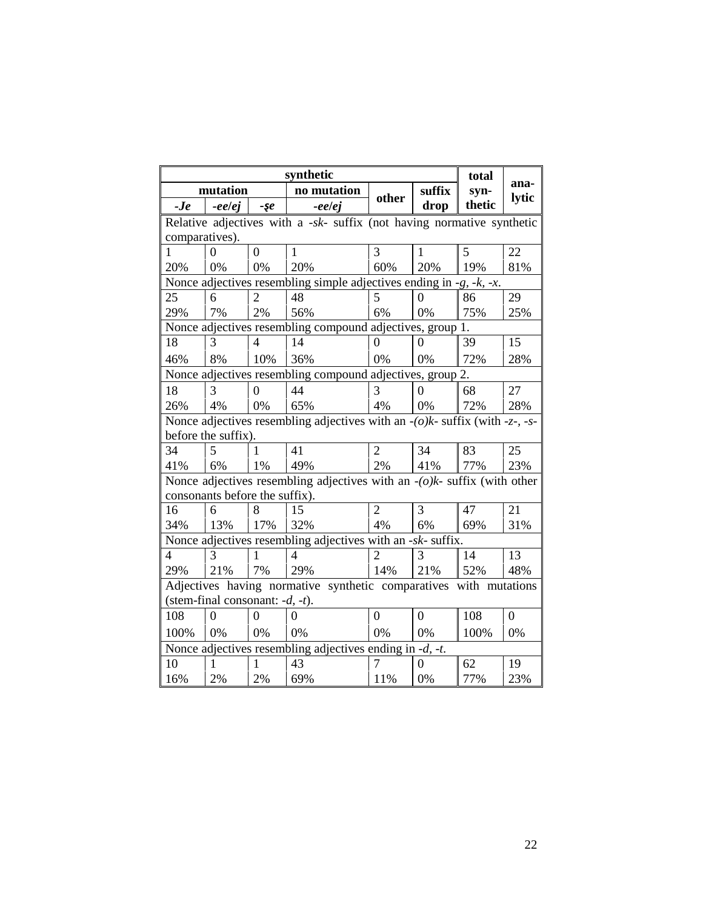| synthetic                                                                      |                                                                             |                |                                                                              |                  | total            |        |                  |  |
|--------------------------------------------------------------------------------|-----------------------------------------------------------------------------|----------------|------------------------------------------------------------------------------|------------------|------------------|--------|------------------|--|
| mutation                                                                       |                                                                             | no mutation    |                                                                              | suffix           | syn-             | ana-   |                  |  |
| $-Je$                                                                          | -ee/ej                                                                      | $-5e$          | -eelej                                                                       | other            | drop             | thetic | lytic            |  |
| Relative adjectives with a $-sk$ - suffix (not having normative synthetic      |                                                                             |                |                                                                              |                  |                  |        |                  |  |
| comparatives).                                                                 |                                                                             |                |                                                                              |                  |                  |        |                  |  |
| 1                                                                              | $\theta$                                                                    | $\overline{0}$ | $\mathbf{1}$                                                                 | 3                | 1                | 5      | 22               |  |
| 20%                                                                            | 0%                                                                          | 0%             | 20%                                                                          | 60%              | 20%              | 19%    | 81%              |  |
|                                                                                |                                                                             |                | Nonce adjectives resembling simple adjectives ending in $-g$ , $-k$ , $-x$ . |                  |                  |        |                  |  |
| 25                                                                             | 6                                                                           | 2              | 48                                                                           | 5                | $\theta$         | 86     | 29               |  |
| 29%                                                                            | 7%                                                                          | 2%             | 56%                                                                          | 6%               | 0%               | 75%    | 25%              |  |
|                                                                                |                                                                             |                | Nonce adjectives resembling compound adjectives, group 1.                    |                  |                  |        |                  |  |
| 18                                                                             | 3                                                                           | $\overline{4}$ | 14                                                                           | 0                | $\theta$         | 39     | 15               |  |
| 46%                                                                            | 8%                                                                          | 10%            | 36%                                                                          | 0%               | 0%               | 72%    | 28%              |  |
| Nonce adjectives resembling compound adjectives, group 2.                      |                                                                             |                |                                                                              |                  |                  |        |                  |  |
| 18                                                                             | 3                                                                           | $\theta$       | 44                                                                           | 3                | $\overline{0}$   | 68     | 27               |  |
| 26%                                                                            | 4%                                                                          | 0%             | 65%                                                                          | 4%               | 0%               | 72%    | 28%              |  |
| Nonce adjectives resembling adjectives with an $-(o)k$ - suffix (with -z-, -s- |                                                                             |                |                                                                              |                  |                  |        |                  |  |
| before the suffix).                                                            |                                                                             |                |                                                                              |                  |                  |        |                  |  |
| 34                                                                             | 5                                                                           |                | 41                                                                           | $\overline{2}$   | 34               | 83     | 25               |  |
| 41%                                                                            | 6%                                                                          | 1%             | 49%                                                                          | 2%               | 41%              | 77%    | 23%              |  |
|                                                                                | Nonce adjectives resembling adjectives with an $-(o)k$ - suffix (with other |                |                                                                              |                  |                  |        |                  |  |
| consonants before the suffix).                                                 |                                                                             |                |                                                                              |                  |                  |        |                  |  |
| 16                                                                             | 6                                                                           | 8              | 15                                                                           | $\overline{2}$   | 3                | 47     | 21               |  |
| 34%                                                                            | 13%                                                                         | 17%            | 32%                                                                          | 4%               | 6%               | 69%    | 31%              |  |
| Nonce adjectives resembling adjectives with an -sk- suffix.                    |                                                                             |                |                                                                              |                  |                  |        |                  |  |
| 4                                                                              | 3                                                                           | 1              | 4                                                                            | $\overline{2}$   | 3                | 14     | 13               |  |
| 29%                                                                            | 21%                                                                         | 7%             | 29%                                                                          | 14%              | 21%              | 52%    | 48%              |  |
| Adjectives having normative synthetic comparatives with mutations              |                                                                             |                |                                                                              |                  |                  |        |                  |  |
| (stem-final consonant: $-d$ , $-t$ ).                                          |                                                                             |                |                                                                              |                  |                  |        |                  |  |
| 108                                                                            | $\Omega$                                                                    | $\Omega$       | $\Omega$                                                                     | $\boldsymbol{0}$ | $\boldsymbol{0}$ | 108    | $\boldsymbol{0}$ |  |
| 100%                                                                           | 0%                                                                          | 0%             | 0%                                                                           | 0%               | 0%               | 100%   | 0%               |  |
| Nonce adjectives resembling adjectives ending in -d, -t.                       |                                                                             |                |                                                                              |                  |                  |        |                  |  |
| 10                                                                             | 1                                                                           | 1              | 43                                                                           | 7                | $\theta$         | 62     | 19               |  |
| 16%                                                                            | 2%                                                                          | 2%             | 69%                                                                          | 11%              | 0%               | 77%    | 23%              |  |